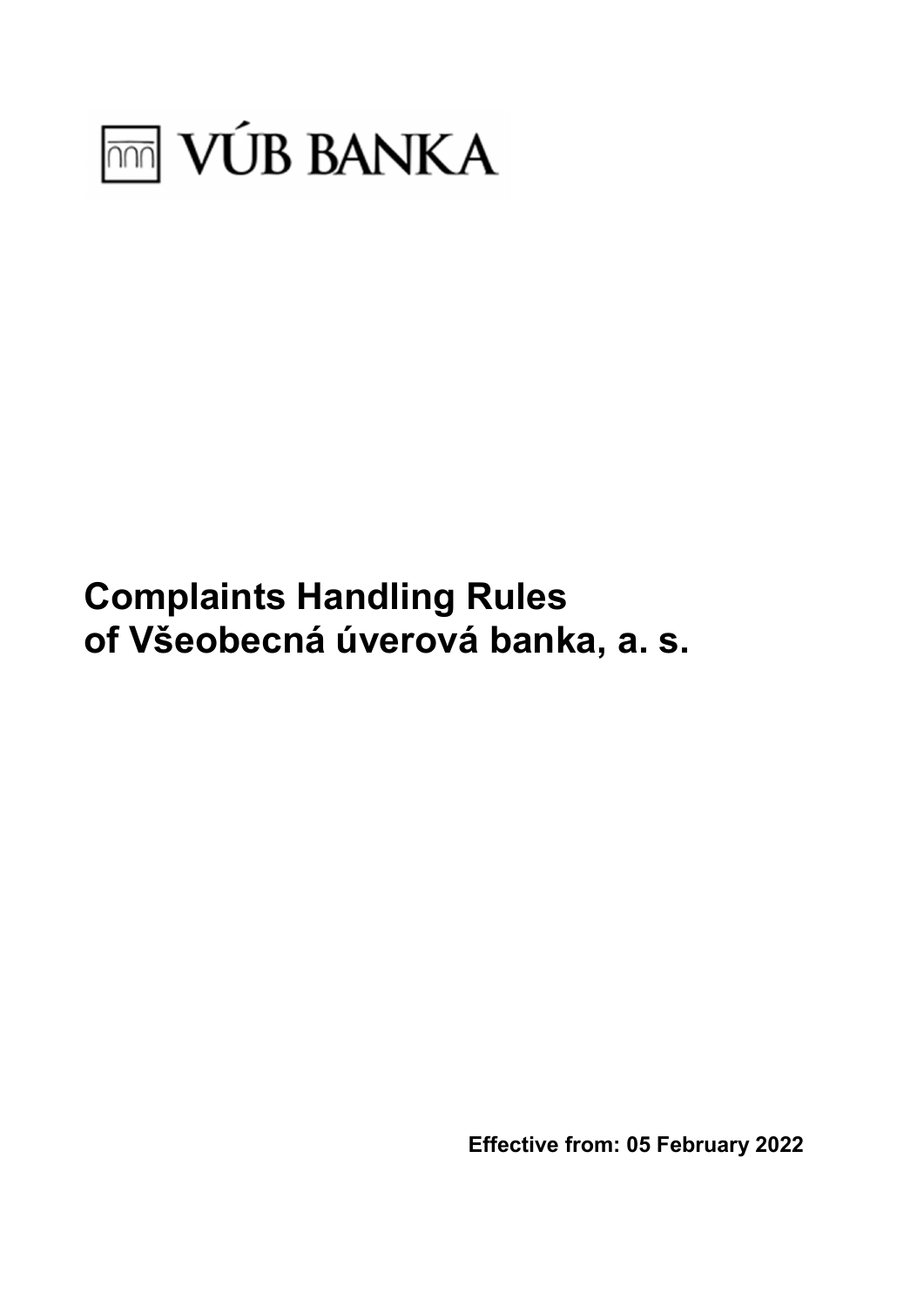

# Complaints Handling Rules of Všeobecná úverová banka, a. s.

Effective from: 05 February 2022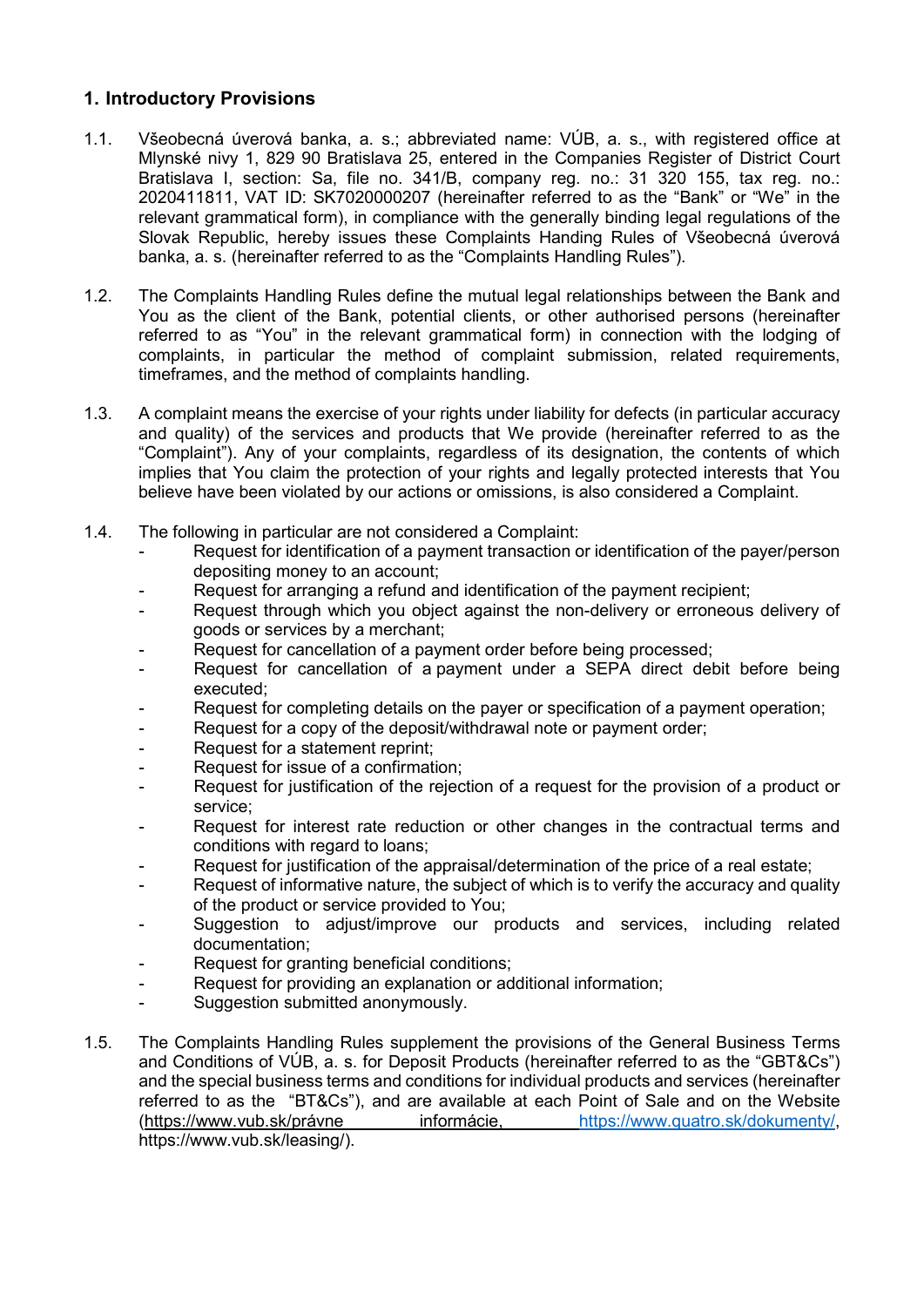# 1. Introductory Provisions

- 1.1. Všeobecná úverová banka, a. s.; abbreviated name: VÚB, a. s., with registered office at Mlynské nivy 1, 829 90 Bratislava 25, entered in the Companies Register of District Court Bratislava I, section: Sa, file no. 341/B, company reg. no.: 31 320 155, tax reg. no.: 2020411811, VAT ID: SK7020000207 (hereinafter referred to as the "Bank" or "We" in the relevant grammatical form), in compliance with the generally binding legal regulations of the Slovak Republic, hereby issues these Complaints Handing Rules of Všeobecná úverová banka, a. s. (hereinafter referred to as the "Complaints Handling Rules").
- 1.2. The Complaints Handling Rules define the mutual legal relationships between the Bank and You as the client of the Bank, potential clients, or other authorised persons (hereinafter referred to as "You" in the relevant grammatical form) in connection with the lodging of complaints, in particular the method of complaint submission, related requirements, timeframes, and the method of complaints handling.
- 1.3. A complaint means the exercise of your rights under liability for defects (in particular accuracy and quality) of the services and products that We provide (hereinafter referred to as the "Complaint"). Any of your complaints, regardless of its designation, the contents of which implies that You claim the protection of your rights and legally protected interests that You believe have been violated by our actions or omissions, is also considered a Complaint.
- 1.4. The following in particular are not considered a Complaint:
	- Request for identification of a payment transaction or identification of the payer/person depositing money to an account;
	- Request for arranging a refund and identification of the payment recipient:
	- Request through which you object against the non-delivery or erroneous delivery of goods or services by a merchant;
	- Request for cancellation of a payment order before being processed;
	- Request for cancellation of a payment under a SEPA direct debit before being executed;
	- Request for completing details on the payer or specification of a payment operation;
	- Request for a copy of the deposit/withdrawal note or payment order;
	- Request for a statement reprint:
	- Request for issue of a confirmation;
	- Request for justification of the rejection of a request for the provision of a product or service;
	- Request for interest rate reduction or other changes in the contractual terms and conditions with regard to loans;
	- Request for justification of the appraisal/determination of the price of a real estate;
	- Request of informative nature, the subject of which is to verify the accuracy and quality of the product or service provided to You;
	- Suggestion to adjust/improve our products and services, including related documentation;
	- Request for granting beneficial conditions;
	- Request for providing an explanation or additional information;
	- Suggestion submitted anonymously.
- 1.5. The Complaints Handling Rules supplement the provisions of the General Business Terms and Conditions of VÚB, a. s. for Deposit Products (hereinafter referred to as the "GBT&Cs") and the special business terms and conditions for individual products and services (hereinafter referred to as the "BT&Cs"), and are available at each Point of Sale and on the Website (https://www.vub.sk/právne informácie, https://www.quatro.sk/dokumenty/, https://www.vub.sk/leasing/).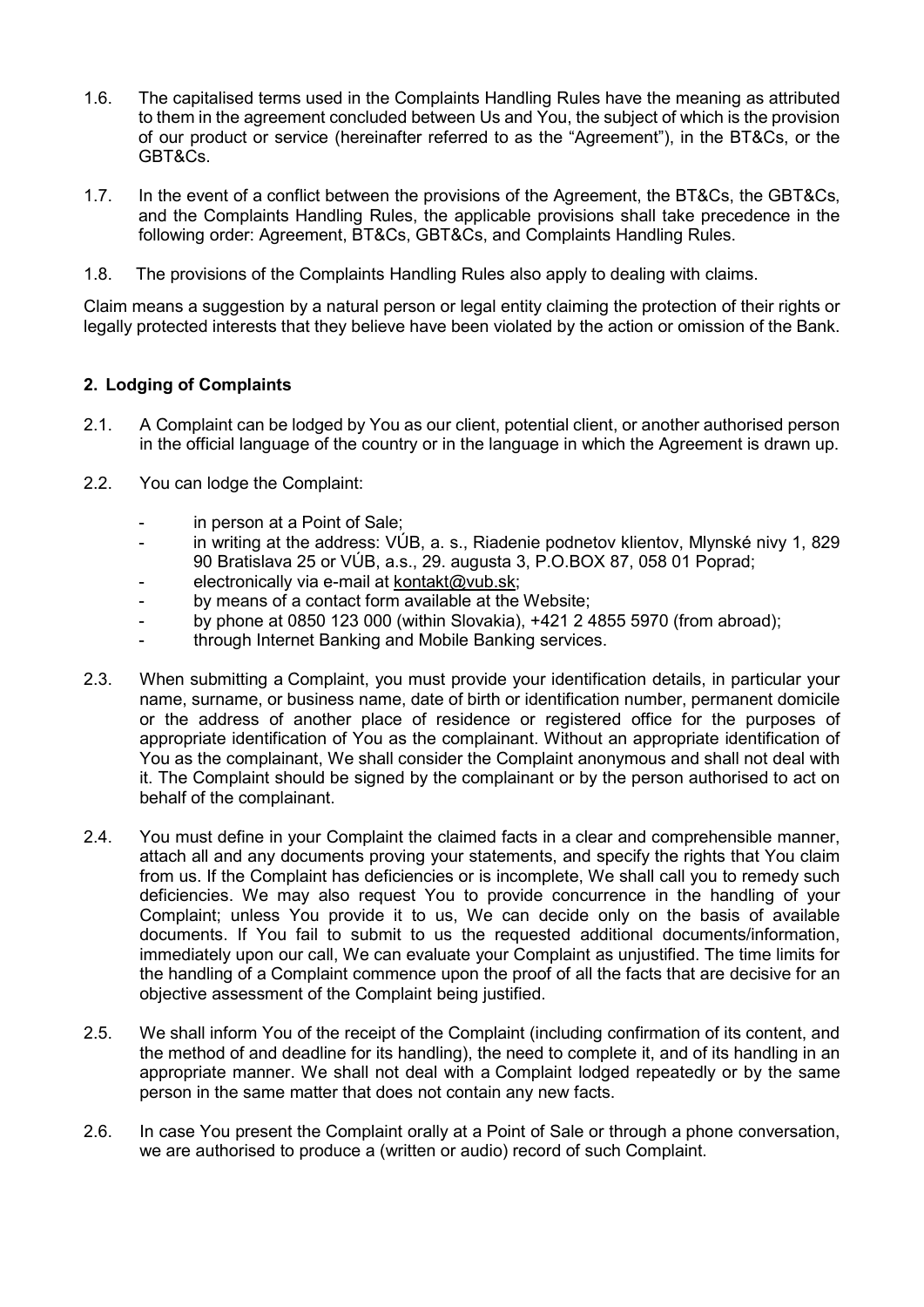- 1.6. The capitalised terms used in the Complaints Handling Rules have the meaning as attributed to them in the agreement concluded between Us and You, the subject of which is the provision of our product or service (hereinafter referred to as the "Agreement"), in the BT&Cs, or the GBT&Cs.
- 1.7. In the event of a conflict between the provisions of the Agreement, the BT&Cs, the GBT&Cs, and the Complaints Handling Rules, the applicable provisions shall take precedence in the following order: Agreement, BT&Cs, GBT&Cs, and Complaints Handling Rules.
- 1.8. The provisions of the Complaints Handling Rules also apply to dealing with claims.

Claim means a suggestion by a natural person or legal entity claiming the protection of their rights or legally protected interests that they believe have been violated by the action or omission of the Bank.

# 2. Lodging of Complaints

- 2.1. A Complaint can be lodged by You as our client, potential client, or another authorised person in the official language of the country or in the language in which the Agreement is drawn up.
- 2.2. You can lodge the Complaint:
	- in person at a Point of Sale:
	- in writing at the address: VÚB, a. s., Riadenie podnetov klientov, Mlynské nivy 1, 829 90 Bratislava 25 or VÚB, a.s., 29. augusta 3, P.O.BOX 87, 058 01 Poprad;
	- electronically via e-mail at kontakt@vub.sk;
	- by means of a contact form available at the Website;
	- by phone at 0850 123 000 (within Slovakia), +421 2 4855 5970 (from abroad);
	- through Internet Banking and Mobile Banking services.
- 2.3. When submitting a Complaint, you must provide your identification details, in particular your name, surname, or business name, date of birth or identification number, permanent domicile or the address of another place of residence or registered office for the purposes of appropriate identification of You as the complainant. Without an appropriate identification of You as the complainant, We shall consider the Complaint anonymous and shall not deal with it. The Complaint should be signed by the complainant or by the person authorised to act on behalf of the complainant.
- 2.4. You must define in your Complaint the claimed facts in a clear and comprehensible manner, attach all and any documents proving your statements, and specify the rights that You claim from us. If the Complaint has deficiencies or is incomplete, We shall call you to remedy such deficiencies. We may also request You to provide concurrence in the handling of your Complaint; unless You provide it to us, We can decide only on the basis of available documents. If You fail to submit to us the requested additional documents/information, immediately upon our call, We can evaluate your Complaint as unjustified. The time limits for the handling of a Complaint commence upon the proof of all the facts that are decisive for an objective assessment of the Complaint being justified.
- 2.5. We shall inform You of the receipt of the Complaint (including confirmation of its content, and the method of and deadline for its handling), the need to complete it, and of its handling in an appropriate manner. We shall not deal with a Complaint lodged repeatedly or by the same person in the same matter that does not contain any new facts.
- 2.6. In case You present the Complaint orally at a Point of Sale or through a phone conversation, we are authorised to produce a (written or audio) record of such Complaint.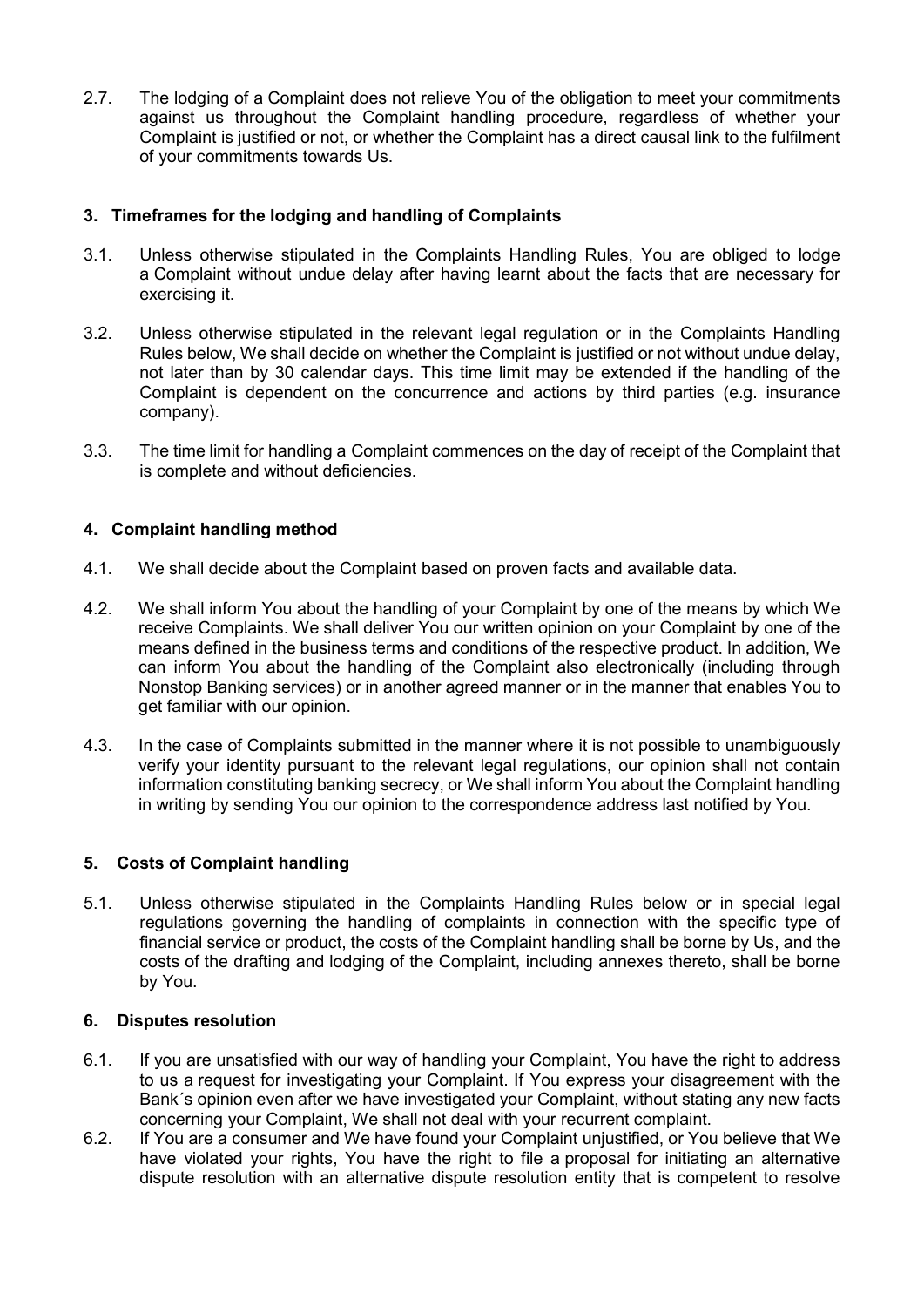2.7. The lodging of a Complaint does not relieve You of the obligation to meet your commitments against us throughout the Complaint handling procedure, regardless of whether your Complaint is justified or not, or whether the Complaint has a direct causal link to the fulfilment of your commitments towards Us.

# 3. Timeframes for the lodging and handling of Complaints

- 3.1. Unless otherwise stipulated in the Complaints Handling Rules, You are obliged to lodge a Complaint without undue delay after having learnt about the facts that are necessary for exercising it.
- 3.2. Unless otherwise stipulated in the relevant legal regulation or in the Complaints Handling Rules below, We shall decide on whether the Complaint is justified or not without undue delay, not later than by 30 calendar days. This time limit may be extended if the handling of the Complaint is dependent on the concurrence and actions by third parties (e.g. insurance company).
- 3.3. The time limit for handling a Complaint commences on the day of receipt of the Complaint that is complete and without deficiencies.

## 4. Complaint handling method

- 4.1. We shall decide about the Complaint based on proven facts and available data.
- 4.2. We shall inform You about the handling of your Complaint by one of the means by which We receive Complaints. We shall deliver You our written opinion on your Complaint by one of the means defined in the business terms and conditions of the respective product. In addition, We can inform You about the handling of the Complaint also electronically (including through Nonstop Banking services) or in another agreed manner or in the manner that enables You to get familiar with our opinion.
- 4.3. In the case of Complaints submitted in the manner where it is not possible to unambiguously verify your identity pursuant to the relevant legal regulations, our opinion shall not contain information constituting banking secrecy, or We shall inform You about the Complaint handling in writing by sending You our opinion to the correspondence address last notified by You.

### 5. Costs of Complaint handling

5.1. Unless otherwise stipulated in the Complaints Handling Rules below or in special legal regulations governing the handling of complaints in connection with the specific type of financial service or product, the costs of the Complaint handling shall be borne by Us, and the costs of the drafting and lodging of the Complaint, including annexes thereto, shall be borne by You.

### 6. Disputes resolution

- 6.1. If you are unsatisfied with our way of handling your Complaint, You have the right to address to us a request for investigating your Complaint. If You express your disagreement with the Bank´s opinion even after we have investigated your Complaint, without stating any new facts concerning your Complaint, We shall not deal with your recurrent complaint.
- 6.2. If You are a consumer and We have found your Complaint unjustified, or You believe that We have violated your rights. You have the right to file a proposal for initiating an alternative dispute resolution with an alternative dispute resolution entity that is competent to resolve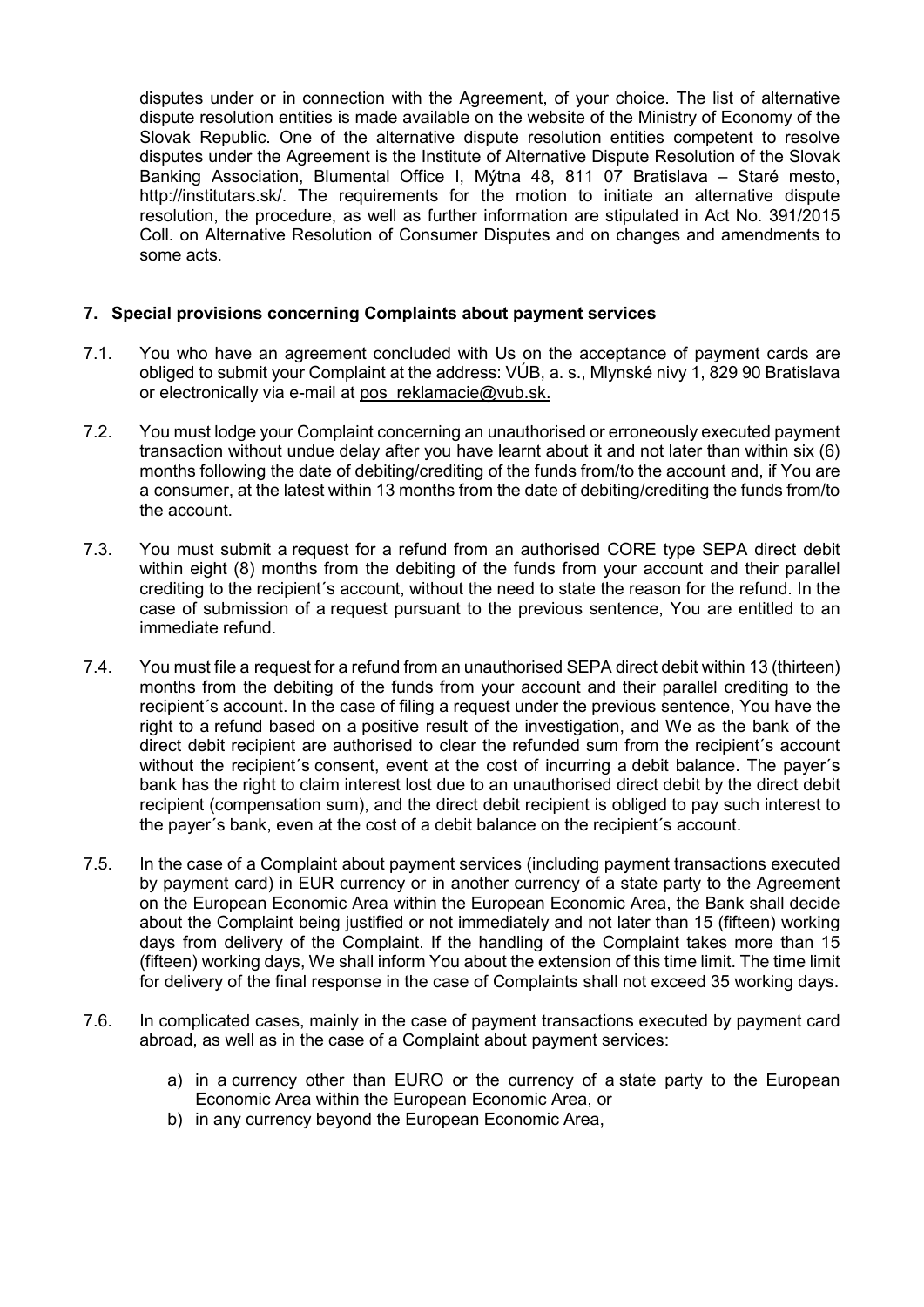disputes under or in connection with the Agreement, of your choice. The list of alternative dispute resolution entities is made available on the website of the Ministry of Economy of the Slovak Republic. One of the alternative dispute resolution entities competent to resolve disputes under the Agreement is the Institute of Alternative Dispute Resolution of the Slovak Banking Association, Blumental Office I, Mýtna 48, 811 07 Bratislava – Staré mesto, http://institutars.sk/. The requirements for the motion to initiate an alternative dispute resolution, the procedure, as well as further information are stipulated in Act No. 391/2015 Coll. on Alternative Resolution of Consumer Disputes and on changes and amendments to some acts.

### 7. Special provisions concerning Complaints about payment services

- 7.1. You who have an agreement concluded with Us on the acceptance of payment cards are obliged to submit your Complaint at the address: VÚB, a. s., Mlynské nivy 1, 829 90 Bratislava or electronically via e-mail at pos\_reklamacie@vub.sk.
- 7.2. You must lodge your Complaint concerning an unauthorised or erroneously executed payment transaction without undue delay after you have learnt about it and not later than within six (6) months following the date of debiting/crediting of the funds from/to the account and, if You are a consumer, at the latest within 13 months from the date of debiting/crediting the funds from/to the account.
- 7.3. You must submit a request for a refund from an authorised CORE type SEPA direct debit within eight (8) months from the debiting of the funds from your account and their parallel crediting to the recipient´s account, without the need to state the reason for the refund. In the case of submission of a request pursuant to the previous sentence, You are entitled to an immediate refund.
- 7.4. You must file a request for a refund from an unauthorised SEPA direct debit within 13 (thirteen) months from the debiting of the funds from your account and their parallel crediting to the recipient´s account. In the case of filing a request under the previous sentence, You have the right to a refund based on a positive result of the investigation, and We as the bank of the direct debit recipient are authorised to clear the refunded sum from the recipient´s account without the recipient's consent, event at the cost of incurring a debit balance. The payer's bank has the right to claim interest lost due to an unauthorised direct debit by the direct debit recipient (compensation sum), and the direct debit recipient is obliged to pay such interest to the payer´s bank, even at the cost of a debit balance on the recipient´s account.
- 7.5. In the case of a Complaint about payment services (including payment transactions executed by payment card) in EUR currency or in another currency of a state party to the Agreement on the European Economic Area within the European Economic Area, the Bank shall decide about the Complaint being justified or not immediately and not later than 15 (fifteen) working days from delivery of the Complaint. If the handling of the Complaint takes more than 15 (fifteen) working days, We shall inform You about the extension of this time limit. The time limit for delivery of the final response in the case of Complaints shall not exceed 35 working days.
- 7.6. In complicated cases, mainly in the case of payment transactions executed by payment card abroad, as well as in the case of a Complaint about payment services:
	- a) in a currency other than EURO or the currency of a state party to the European Economic Area within the European Economic Area, or
	- b) in any currency beyond the European Economic Area,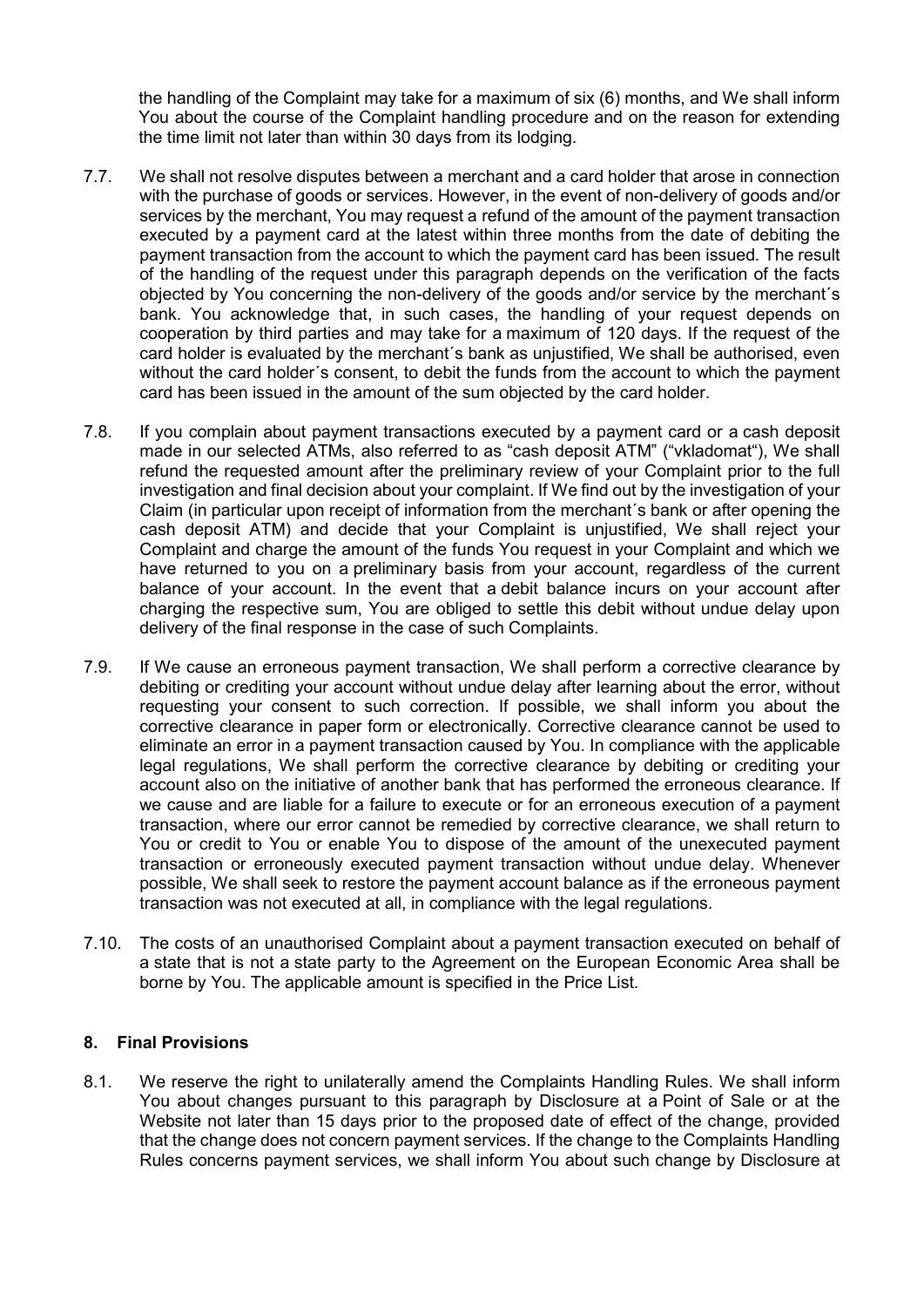the handling of the Complaint may take for a maximum of six (6) months, and We shall inform You about the course of the Complaint handling procedure and on the reason for extending the time limit not later than within 30 days from its lodging.

- 7.7. We shall not resolve disputes between a merchant and a card holder that arose in connection with the purchase of goods or services. However, in the event of non-delivery of goods and/or services by the merchant, You may request a refund of the amount of the payment transaction executed by a payment card at the latest within three months from the date of debiting the payment transaction from the account to which the payment card has been issued. The result of the handling of the request under this paragraph depends on the verification of the facts objected by You concerning the non-delivery of the goods and/or service by the merchant´s bank. You acknowledge that, in such cases, the handling of your request depends on cooperation by third parties and may take for a maximum of 120 days. If the request of the card holder is evaluated by the merchant´s bank as unjustified, We shall be authorised, even without the card holder´s consent, to debit the funds from the account to which the payment card has been issued in the amount of the sum objected by the card holder.
- 7.8. If you complain about payment transactions executed by a payment card or a cash deposit made in our selected ATMs, also referred to as "cash deposit ATM" ("vkladomat"), We shall refund the requested amount after the preliminary review of your Complaint prior to the full investigation and final decision about your complaint. If We find out by the investigation of your Claim (in particular upon receipt of information from the merchant´s bank or after opening the cash deposit ATM) and decide that your Complaint is unjustified, We shall reject your Complaint and charge the amount of the funds You request in your Complaint and which we have returned to you on a preliminary basis from your account, regardless of the current balance of your account. In the event that a debit balance incurs on your account after charging the respective sum, You are obliged to settle this debit without undue delay upon delivery of the final response in the case of such Complaints.
- 7.9. If We cause an erroneous payment transaction, We shall perform a corrective clearance by debiting or crediting your account without undue delay after learning about the error, without requesting your consent to such correction. If possible, we shall inform you about the corrective clearance in paper form or electronically. Corrective clearance cannot be used to eliminate an error in a payment transaction caused by You. In compliance with the applicable legal regulations, We shall perform the corrective clearance by debiting or crediting your account also on the initiative of another bank that has performed the erroneous clearance. If we cause and are liable for a failure to execute or for an erroneous execution of a payment transaction, where our error cannot be remedied by corrective clearance, we shall return to You or credit to You or enable You to dispose of the amount of the unexecuted payment transaction or erroneously executed payment transaction without undue delay. Whenever possible, We shall seek to restore the payment account balance as if the erroneous payment transaction was not executed at all, in compliance with the legal regulations.
- 7.10. The costs of an unauthorised Complaint about a payment transaction executed on behalf of a state that is not a state party to the Agreement on the European Economic Area shall be borne by You. The applicable amount is specified in the Price List.

### 8. Final Provisions

8.1. We reserve the right to unilaterally amend the Complaints Handling Rules. We shall inform You about changes pursuant to this paragraph by Disclosure at a Point of Sale or at the Website not later than 15 days prior to the proposed date of effect of the change, provided that the change does not concern payment services. If the change to the Complaints Handling Rules concerns payment services, we shall inform You about such change by Disclosure at